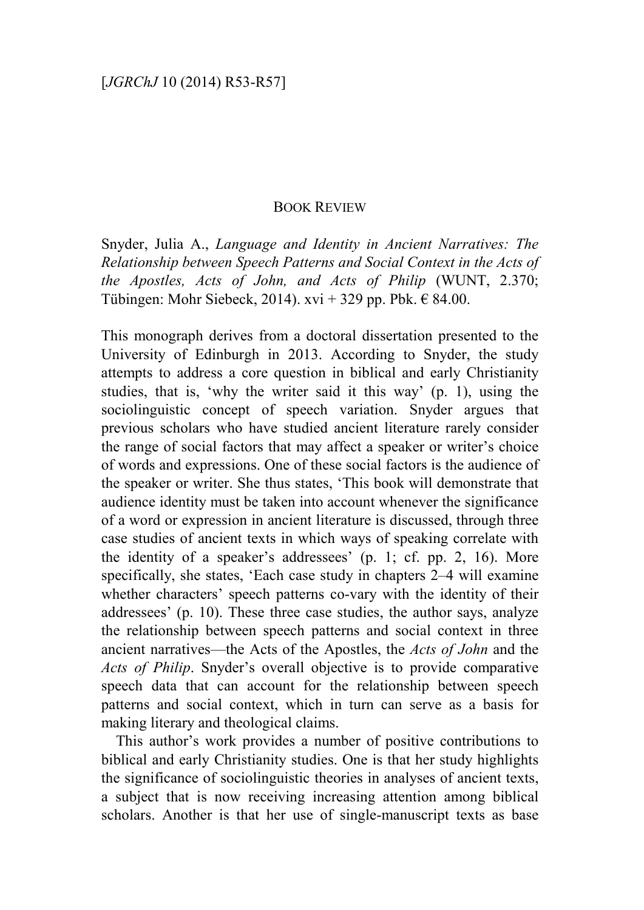## BOOK REVIEW

Snyder, Julia A., *Language and Identity in Ancient Narratives: The Relationship between Speech Patterns and Social Context in the Acts of the Apostles, Acts of John, and Acts of Philip* (WUNT, 2.370; Tübingen: Mohr Siebeck, 2014). xvi + 329 pp. Pbk.  $\in$  84.00.

This monograph derives from a doctoral dissertation presented to the University of Edinburgh in 2013. According to Snyder, the study attempts to address a core question in biblical and early Christianity studies, that is, 'why the writer said it this way' (p. 1), using the sociolinguistic concept of speech variation. Snyder argues that previous scholars who have studied ancient literature rarely consider the range of social factors that may affect a speaker or writer's choice of words and expressions. One of these social factors is the audience of the speaker or writer. She thus states, 'This book will demonstrate that audience identity must be taken into account whenever the significance of a word or expression in ancient literature is discussed, through three case studies of ancient texts in which ways of speaking correlate with the identity of a speaker's addressees' (p. 1; cf. pp. 2, 16). More specifically, she states, 'Each case study in chapters 2–4 will examine whether characters' speech patterns co-vary with the identity of their addressees' (p. 10). These three case studies, the author says, analyze the relationship between speech patterns and social context in three ancient narratives—the Acts of the Apostles, the *Acts of John* and the *Acts of Philip*. Snyder's overall objective is to provide comparative speech data that can account for the relationship between speech patterns and social context, which in turn can serve as a basis for making literary and theological claims.

This author's work provides a number of positive contributions to biblical and early Christianity studies. One is that her study highlights the significance of sociolinguistic theories in analyses of ancient texts, a subject that is now receiving increasing attention among biblical scholars. Another is that her use of single-manuscript texts as base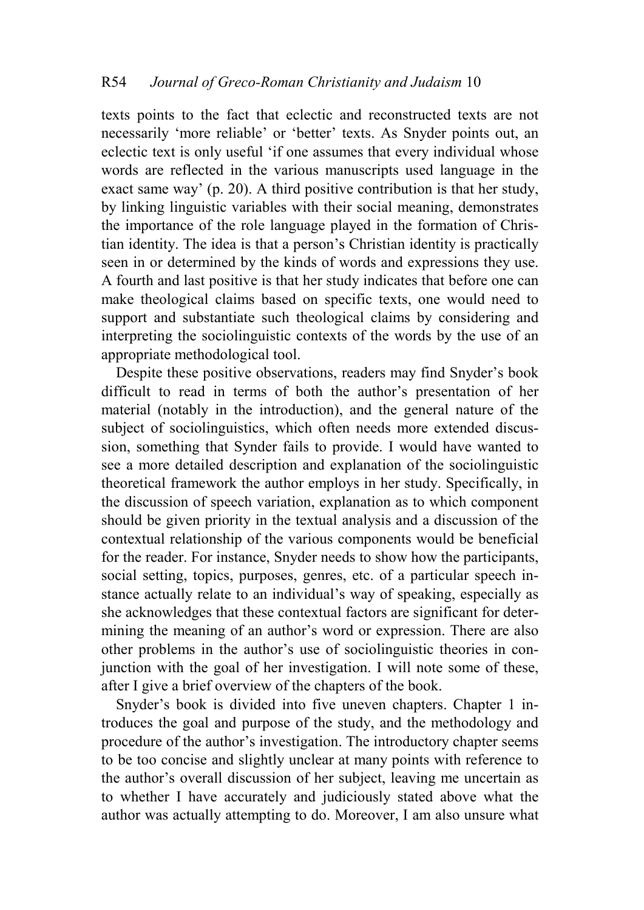texts points to the fact that eclectic and reconstructed texts are not necessarily 'more reliable' or 'better' texts. As Snyder points out, an eclectic text is only useful 'if one assumes that every individual whose words are reflected in the various manuscripts used language in the exact same way' (p. 20). A third positive contribution is that her study, by linking linguistic variables with their social meaning, demonstrates the importance of the role language played in the formation of Christian identity. The idea is that a person's Christian identity is practically seen in or determined by the kinds of words and expressions they use. A fourth and last positive is that her study indicates that before one can make theological claims based on specific texts, one would need to support and substantiate such theological claims by considering and interpreting the sociolinguistic contexts of the words by the use of an appropriate methodological tool.

Despite these positive observations, readers may find Snyder's book difficult to read in terms of both the author's presentation of her material (notably in the introduction), and the general nature of the subject of sociolinguistics, which often needs more extended discussion, something that Synder fails to provide. I would have wanted to see a more detailed description and explanation of the sociolinguistic theoretical framework the author employs in her study. Specifically, in the discussion of speech variation, explanation as to which component should be given priority in the textual analysis and a discussion of the contextual relationship of the various components would be beneficial for the reader. For instance, Snyder needs to show how the participants, social setting, topics, purposes, genres, etc. of a particular speech instance actually relate to an individual's way of speaking, especially as she acknowledges that these contextual factors are significant for determining the meaning of an author's word or expression. There are also other problems in the author's use of sociolinguistic theories in conjunction with the goal of her investigation. I will note some of these, after I give a brief overview of the chapters of the book.

Snyder's book is divided into five uneven chapters. Chapter 1 introduces the goal and purpose of the study, and the methodology and procedure of the author's investigation. The introductory chapter seems to be too concise and slightly unclear at many points with reference to the author's overall discussion of her subject, leaving me uncertain as to whether I have accurately and judiciously stated above what the author was actually attempting to do. Moreover, I am also unsure what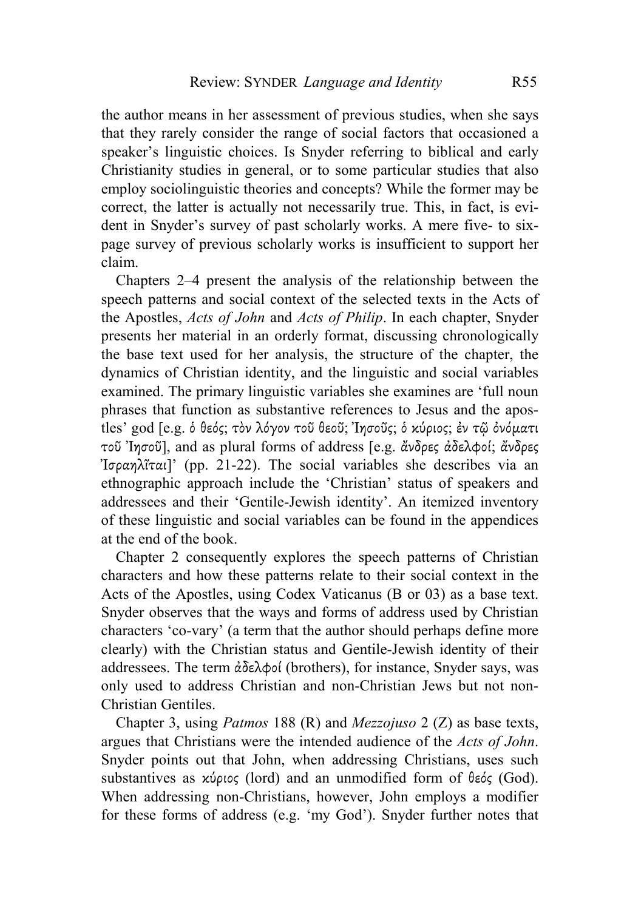the author means in her assessment of previous studies, when she says that they rarely consider the range of social factors that occasioned a speaker's linguistic choices. Is Snyder referring to biblical and early Christianity studies in general, or to some particular studies that also employ sociolinguistic theories and concepts? While the former may be correct, the latter is actually not necessarily true. This, in fact, is evident in Snyder's survey of past scholarly works. A mere five- to sixpage survey of previous scholarly works is insufficient to support her claim.

Chapters 2–4 present the analysis of the relationship between the speech patterns and social context of the selected texts in the Acts of the Apostles, *Acts of John* and *Acts of Philip*. In each chapter, Snyder presents her material in an orderly format, discussing chronologically the base text used for her analysis, the structure of the chapter, the dynamics of Christian identity, and the linguistic and social variables examined. The primary linguistic variables she examines are 'full noun phrases that function as substantive references to Jesus and the apostles' god [e.g. ὁ θεός; τὸν λόγον τοῦ θεοῦ; Ἰησοῦς; ὁ κύριος; ἐν τῷ ὀνόματι τοῦ Ἰησοῦ], and as plural forms of address [e.g. ἄνδρες ἀδελφοί; ἄνδρες Ἰσραηλῖται]' (pp. 21-22). The social variables she describes via an ethnographic approach include the 'Christian' status of speakers and addressees and their 'Gentile-Jewish identity'. An itemized inventory of these linguistic and social variables can be found in the appendices at the end of the book.

Chapter 2 consequently explores the speech patterns of Christian characters and how these patterns relate to their social context in the Acts of the Apostles, using Codex Vaticanus (B or 03) as a base text. Snyder observes that the ways and forms of address used by Christian characters 'co-vary' (a term that the author should perhaps define more clearly) with the Christian status and Gentile-Jewish identity of their addressees. The term ἀδελφοί (brothers), for instance, Snyder says, was only used to address Christian and non-Christian Jews but not non-Christian Gentiles.

Chapter 3, using *Patmos* 188 (R) and *Mezzojuso* 2 (Z) as base texts, argues that Christians were the intended audience of the *Acts of John*. Snyder points out that John, when addressing Christians, uses such substantives as κύριος (lord) and an unmodified form of θεός (God). When addressing non-Christians, however, John employs a modifier for these forms of address (e.g. 'my God'). Snyder further notes that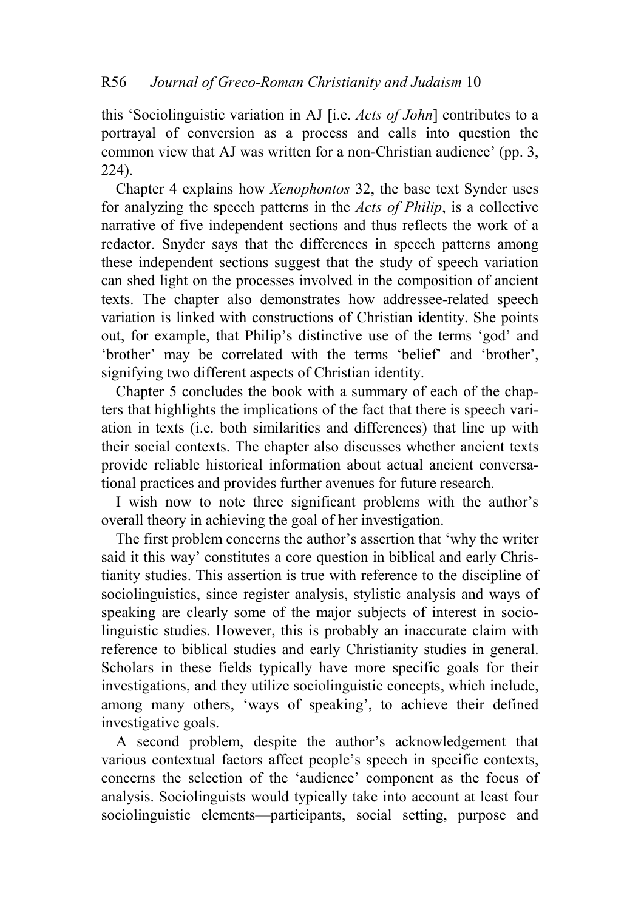this 'Sociolinguistic variation in AJ [i.e. *Acts of John*] contributes to a portrayal of conversion as a process and calls into question the common view that AJ was written for a non-Christian audience' (pp. 3, 224).

Chapter 4 explains how *Xenophontos* 32, the base text Synder uses for analyzing the speech patterns in the *Acts of Philip*, is a collective narrative of five independent sections and thus reflects the work of a redactor. Snyder says that the differences in speech patterns among these independent sections suggest that the study of speech variation can shed light on the processes involved in the composition of ancient texts. The chapter also demonstrates how addressee-related speech variation is linked with constructions of Christian identity. She points out, for example, that Philip's distinctive use of the terms 'god' and 'brother' may be correlated with the terms 'belief' and 'brother', signifying two different aspects of Christian identity.

Chapter 5 concludes the book with a summary of each of the chapters that highlights the implications of the fact that there is speech variation in texts (i.e. both similarities and differences) that line up with their social contexts. The chapter also discusses whether ancient texts provide reliable historical information about actual ancient conversational practices and provides further avenues for future research.

I wish now to note three significant problems with the author's overall theory in achieving the goal of her investigation.

The first problem concerns the author's assertion that 'why the writer said it this way' constitutes a core question in biblical and early Christianity studies. This assertion is true with reference to the discipline of sociolinguistics, since register analysis, stylistic analysis and ways of speaking are clearly some of the major subjects of interest in sociolinguistic studies. However, this is probably an inaccurate claim with reference to biblical studies and early Christianity studies in general. Scholars in these fields typically have more specific goals for their investigations, and they utilize sociolinguistic concepts, which include, among many others, 'ways of speaking', to achieve their defined investigative goals.

A second problem, despite the author's acknowledgement that various contextual factors affect people's speech in specific contexts, concerns the selection of the 'audience' component as the focus of analysis. Sociolinguists would typically take into account at least four sociolinguistic elements—participants, social setting, purpose and